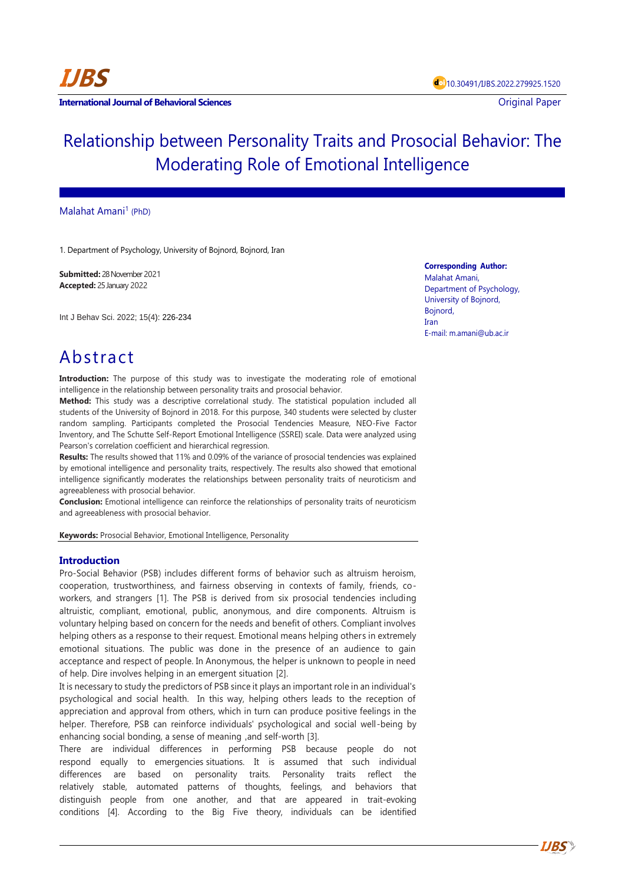**International Journal of Behavioral Sciences Contract Contract Contract Contract Contract Contract Contract Contract Contract Contract Contract Contract Contract Contract Contract Contract Contract Contract Contract Con** 

# Relationship between Personality Traits and Prosocial Behavior: The Moderating Role of Emotional Intelligence

# Malahat Amani<sup>1</sup> (PhD)

1. Department of Psychology, University of Bojnord, Bojnord, Iran

**Submitted:** 28 November 2021 **Accepted:** 25 January 2022

Int J Behav Sci. 2022; 15(4): 226-234

**Corresponding Author:** Malahat Amani,

Department of Psychology, University of Bojnord, Bojnord, Iran E-mail[: m.amani@ub.ac.ir](mailto:m.amani@ub.ac.ir)

# Abstract

**Introduction:** The purpose of this study was to investigate the moderating role of emotional intelligence in the relationship between personality traits and prosocial behavior.

**Method:** This study was a descriptive correlational study. The statistical population included all students of the University of Bojnord in 2018. For this purpose, 340 students were selected by cluster random sampling. Participants completed the Prosocial Tendencies Measure, NEO-Five Factor Inventory, and The Schutte Self-Report Emotional Intelligence (SSREI) scale. Data were analyzed using Pearson's correlation coefficient and hierarchical regression.

**Results:** The results showed that 11% and 0.09% of the variance of prosocial tendencies was explained by emotional intelligence and personality traits, respectively. The results also showed that emotional intelligence significantly moderates the relationships between personality traits of neuroticism and agreeableness with prosocial behavior.

**Conclusion:** Emotional intelligence can reinforce the relationships of personality traits of neuroticism and agreeableness with prosocial behavior.

**Keywords:** Prosocial Behavior, Emotional Intelligence, Personality

# **Introduction**

Pro-Social Behavior (PSB) includes different forms of behavior such as altruism heroism, cooperation, trustworthiness, and fairness observing in contexts of family, friends, coworkers, and strangers [1]. The PSB is derived from six prosocial tendencies including altruistic, compliant, emotional, public, anonymous, and dire components. Altruism is voluntary helping based on concern for the needs and benefit of others. Compliant involves helping others as a response to their request. Emotional means helping others in extremely emotional situations. The public was done in the presence of an audience to gain acceptance and respect of people. In Anonymous, the helper is unknown to people in need of help. Dire involves helping in an emergent situation [2].

It is necessary to study the predictors of PSB since it plays an important role in an individual's psychological and social health. In this way, helping others leads to the reception of appreciation and approval from others, which in turn can produce positive feelings in the helper. Therefore, PSB can reinforce individuals' psychological and social well-being by enhancing social bonding, a sense of meaning ,and self-worth [3].

There are individual differences in performing PSB because people do not respond equally to emergencies situations. It is assumed that such individual differences are based on personality traits. Personality traits reflect the relatively stable, automated patterns of thoughts, feelings, and behaviors that distinguish people from one another, and that are appeared in trait-evoking conditions [4]. According to the Big Five theory, individuals can be identified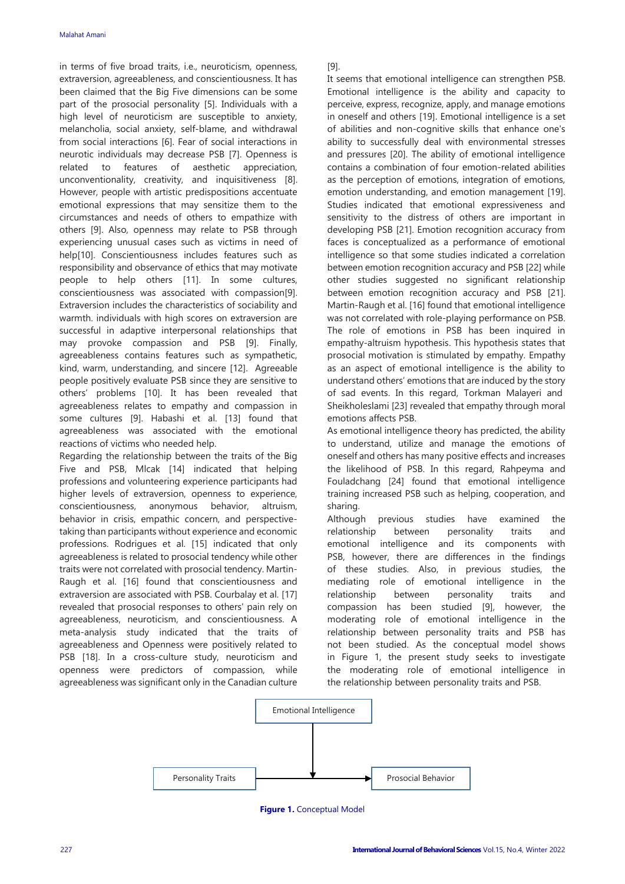in terms of five broad traits, i.e., neuroticism, openness, extraversion, agreeableness, and conscientiousness. It has been claimed that the Big Five dimensions can be some part of the prosocial personality [5]. Individuals with a high level of neuroticism are susceptible to anxiety, melancholia, social anxiety, self-blame, and withdrawal from social interactions [6]. Fear of social interactions in neurotic individuals may decrease PSB [7]. Openness is related to features of aesthetic appreciation, unconventionality, creativity, and inquisitiveness [8]. However, people with artistic predispositions accentuate emotional expressions that may sensitize them to the circumstances and needs of others to empathize with others [9]. Also, openness may relate to PSB through experiencing unusual cases such as victims in need of help[10]. Conscientiousness includes features such as responsibility and observance of ethics that may motivate people to help others [11]. In some cultures, conscientiousness was associated with compassion[9]. Extraversion includes the characteristics of sociability and warmth. individuals with high scores on extraversion are successful in adaptive interpersonal relationships that may provoke compassion and PSB [9]. Finally, agreeableness contains features such as sympathetic, kind, warm, understanding, and sincere [12]. Agreeable people positively evaluate PSB since they are sensitive to others' problems [10]. It has been revealed that agreeableness relates to empathy and compassion in some cultures [9]. Habashi et al. [13] found that agreeableness was associated with the emotional reactions of victims who needed help.

Regarding the relationship between the traits of the Big Five and PSB, Mlcak [14] indicated that helping professions and volunteering experience participants had higher levels of extraversion, openness to experience, conscientiousness, anonymous behavior, altruism, behavior in crisis, empathic concern, and perspectivetaking than participants without experience and economic professions. Rodrigues et al. [15] indicated that only agreeableness is related to prosocial tendency while other traits were not correlated with prosocial tendency. Martin-Raugh et al. [16] found that conscientiousness and extraversion are associated with PSB. Courbalay et al. [17] revealed that prosocial responses to others' pain rely on agreeableness, neuroticism, and conscientiousness. A meta-analysis study indicated that the traits of agreeableness and Openness were positively related to PSB [18]. In a cross-culture study, neuroticism and openness were predictors of compassion, while agreeableness was significant only in the Canadian culture [9].

It seems that emotional intelligence can strengthen PSB. Emotional intelligence is the ability and capacity to perceive, express, recognize, apply, and manage emotions in oneself and others [19]. Emotional intelligence is a set of abilities and non-cognitive skills that enhance one's ability to successfully deal with environmental stresses and pressures [20]. The ability of emotional intelligence contains a combination of four emotion-related abilities as the perception of emotions, integration of emotions, emotion understanding, and emotion management [19]. Studies indicated that emotional expressiveness and sensitivity to the distress of others are important in developing PSB [21]. Emotion recognition accuracy from faces is conceptualized as a performance of emotional intelligence so that some studies indicated a correlation between emotion recognition accuracy and PSB [22] while other studies suggested no significant relationship between emotion recognition accuracy and PSB [21]. Martin-Raugh et al. [16] found that emotional intelligence was not correlated with role-playing performance on PSB. The role of emotions in PSB has been inquired in empathy-altruism hypothesis. This hypothesis states that prosocial motivation is stimulated by empathy. Empathy as an aspect of emotional intelligence is the ability to understand others' emotions that are induced by the story of sad events. In this regard, Torkman Malayeri and Sheikholeslami [23] revealed that empathy through moral emotions affects PSB.

As emotional intelligence theory has predicted, the ability to understand, utilize and manage the emotions of oneself and others has many positive effects and increases the likelihood of PSB. In this regard, Rahpeyma and Fouladchang [24] found that emotional intelligence training increased PSB such as helping, cooperation, and sharing.

Although previous studies have examined the relationship between personality traits and emotional intelligence and its components with PSB, however, there are differences in the findings of these studies. Also, in previous studies, the mediating role of emotional intelligence in the relationship between personality traits and compassion has been studied [9], however, the moderating role of emotional intelligence in the relationship between personality traits and PSB has not been studied. As the conceptual model shows in Figure 1, the present study seeks to investigate the moderating role of emotional intelligence in the relationship between personality traits and PSB.



**Figure 1.** Conceptual Model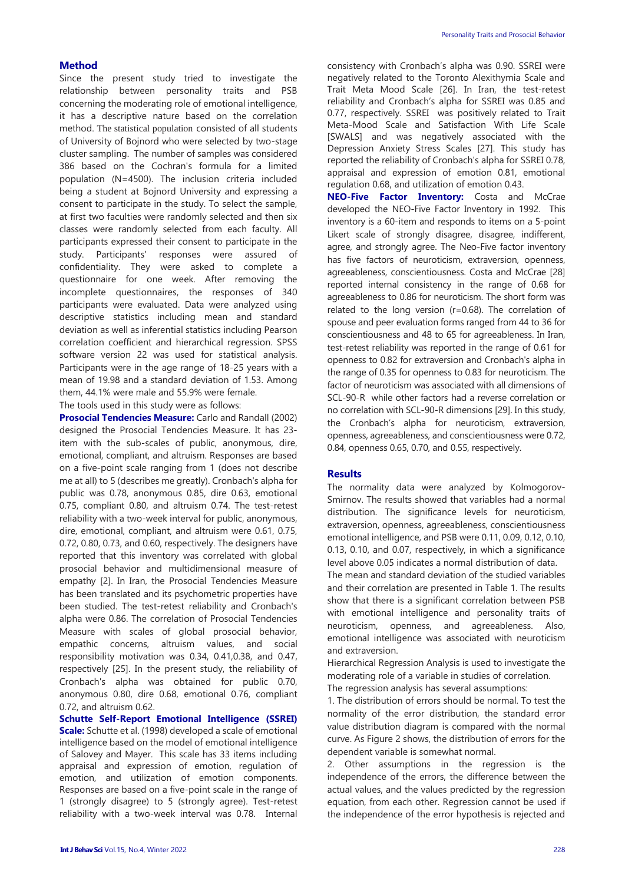# **Method**

Since the present study tried to investigate the relationship between personality traits and PSB concerning the moderating role of emotional intelligence, it has a descriptive nature based on the correlation method. The statistical population consisted of all students of University of Bojnord who were selected by two-stage cluster sampling. The number of samples was considered 386 based on the Cochran's formula for a limited population (N=4500). The inclusion criteria included being a student at Bojnord University and expressing a consent to participate in the study. To select the sample, at first two faculties were randomly selected and then six classes were randomly selected from each faculty. All participants expressed their consent to participate in the study. Participants' responses were assured of confidentiality. They were asked to complete a questionnaire for one week. After removing the incomplete questionnaires, the responses of 340 participants were evaluated. Data were analyzed using descriptive statistics including mean and standard deviation as well as inferential statistics including Pearson correlation coefficient and hierarchical regression. SPSS software version 22 was used for statistical analysis. Participants were in the age range of 18-25 years with a mean of 19.98 and a standard deviation of 1.53. Among them, 44.1% were male and 55.9% were female.

The tools used in this study were as follows:

**Prosocial Tendencies Measure:** Carlo and Randall (2002) designed the Prosocial Tendencies Measure. It has 23 item with the sub-scales of public, anonymous, dire, emotional, compliant, and altruism. Responses are based on a five-point scale ranging from 1 (does not describe me at all) to 5 (describes me greatly). Cronbach's alpha for public was 0.78, anonymous 0.85, dire 0.63, emotional 0.75, compliant 0.80, and altruism 0.74. The test-retest reliability with a two-week interval for public, anonymous, dire, emotional, compliant, and altruism were 0.61, 0.75, 0.72, 0.80, 0.73, and 0.60, respectively. The designers have reported that this inventory was correlated with global prosocial behavior and multidimensional measure of empathy [2]. In Iran, the Prosocial Tendencies Measure has been translated and its psychometric properties have been studied. The test-retest reliability and Cronbach's alpha were 0.86. The correlation of Prosocial Tendencies Measure with scales of global prosocial behavior, empathic concerns, altruism values, and social responsibility motivation was 0.34, 0.41,0.38, and 0.47, respectively [25]. In the present study, the reliability of Cronbach's alpha was obtained for public 0.70, anonymous 0.80, dire 0.68, emotional 0.76, compliant 0.72, and altruism 0.62.

**Schutte Self-Report Emotional Intelligence (SSREI) Scale:** Schutte et al. (1998) developed a scale of emotional intelligence based on the model of emotional intelligence of Salovey and Mayer. This scale has 33 items including appraisal and expression of emotion, regulation of emotion, and utilization of emotion components. Responses are based on a five-point scale in the range of 1 (strongly disagree) to 5 (strongly agree). Test-retest reliability with a two-week interval was 0.78. Internal consistency with Cronbach's alpha was 0.90. SSREI were negatively related to the Toronto Alexithymia Scale and Trait Meta Mood Scale [26]. In Iran, the test-retest reliability and Cronbach's alpha for SSREI was 0.85 and 0.77, respectively. SSREI was positively related to Trait Meta-Mood Scale and Satisfaction With Life Scale [SWALS] and was negatively associated with the Depression Anxiety Stress Scales [27]. This study has reported the reliability of Cronbach's alpha for SSREI 0.78, appraisal and expression of emotion 0.81, emotional regulation 0.68, and utilization of emotion 0.43.

**NEO-Five Factor Inventory:** Costa and McCrae developed the NEO-Five Factor Inventory in 1992. This inventory is a 60-item and responds to items on a 5-point Likert scale of strongly disagree, disagree, indifferent, agree, and strongly agree. The Neo-Five factor inventory has five factors of neuroticism, extraversion, openness, agreeableness, conscientiousness. Costa and McCrae [28] reported internal consistency in the range of 0.68 for agreeableness to 0.86 for neuroticism. The short form was related to the long version (r=0.68). The correlation of spouse and peer evaluation forms ranged from 44 to 36 for conscientiousness and 48 to 65 for agreeableness. In Iran, test-retest reliability was reported in the range of 0.61 for openness to 0.82 for extraversion and Cronbach's alpha in the range of 0.35 for openness to 0.83 for neuroticism. The factor of neuroticism was associated with all dimensions of SCL-90-R while other factors had a reverse correlation or no correlation with SCL-90-R dimensions [29]. In this study, the Cronbach's alpha for neuroticism, extraversion, openness, agreeableness, and conscientiousness were 0.72, 0.84, openness 0.65, 0.70, and 0.55, respectively.

#### **Results**

The normality data were analyzed by Kolmogorov-Smirnov. The results showed that variables had a normal distribution. The significance levels for neuroticism, extraversion, openness, agreeableness, conscientiousness emotional intelligence, and PSB were 0.11, 0.09, 0.12, 0.10, 0.13, 0.10, and 0.07, respectively, in which a significance level above 0.05 indicates a normal distribution of data. The mean and standard deviation of the studied variables

and their correlation are presented in Table 1. The results show that there is a significant correlation between PSB with emotional intelligence and personality traits of neuroticism, openness, and agreeableness. Also, emotional intelligence was associated with neuroticism and extraversion.

Hierarchical Regression Analysis is used to investigate the moderating role of a variable in studies of correlation.

The regression analysis has several assumptions:

1. The distribution of errors should be normal. To test the normality of the error distribution, the standard error value distribution diagram is compared with the normal curve. As Figure 2 shows, the distribution of errors for the dependent variable is somewhat normal.

2. Other assumptions in the regression is the independence of the errors, the difference between the actual values, and the values predicted by the regression equation, from each other. Regression cannot be used if the independence of the error hypothesis is rejected and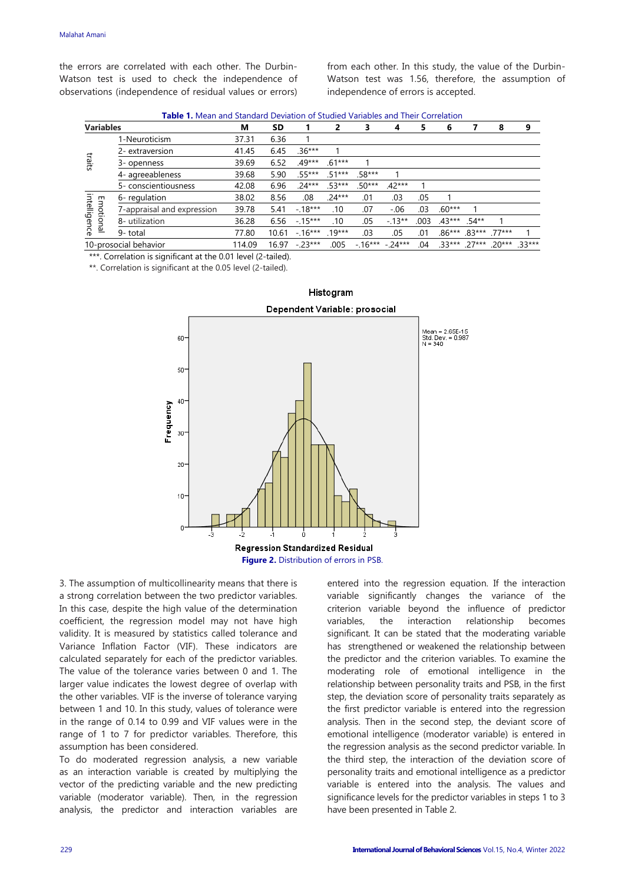the errors are correlated with each other. The Durbin-Watson test is used to check the independence of observations (independence of residual values or errors)

from each other. In this study, the value of the Durbin-Watson test was 1.56, therefore, the assumption of independence of errors is accepted.

**Table 1.** Mean and Standard Deviation of Studied Variables and Their Correlation

| <b>Variables</b>          |                            | м      | SD    |          | 2        | 3        | 4        | 5    | 6               |          | 8        | 9       |
|---------------------------|----------------------------|--------|-------|----------|----------|----------|----------|------|-----------------|----------|----------|---------|
| traits                    | 1-Neuroticism              | 37.31  | 6.36  |          |          |          |          |      |                 |          |          |         |
|                           | 2- extraversion            | 41.45  | 6.45  | $.36***$ |          |          |          |      |                 |          |          |         |
|                           | 3- openness                | 39.69  | 6.52  | $.49***$ | $.61***$ |          |          |      |                 |          |          |         |
|                           | 4- agreeableness           | 39.68  | 5.90  | $.55***$ | $.51***$ | $.58***$ |          |      |                 |          |          |         |
|                           | 5- conscientiousness       | 42.08  | 6.96  | $.24***$ | $.53***$ | $.50***$ | $.42***$ |      |                 |          |          |         |
|                           | 6- regulation              | 38.02  | 8.56  | .08      | $.24***$ | .01      | .03      | .05  |                 |          |          |         |
|                           | 7-appraisal and expression | 39.78  | 5.41  | $-18***$ | .10      | .07      | $-.06$   | .03  | $.60***$        |          |          |         |
| intelligence<br>Emotional | 8- utilization             | 36.28  | 6.56  | $-15***$ | .10      | .05      | $-13**$  | .003 | $.43***$ .54**  |          |          |         |
|                           | 9- total                   | 77.80  | 10.61 | $-16***$ | $.19***$ | .03      | .05      | .01  | .86***          | $.83***$ | $.77***$ |         |
| 10-prosocial behavior     |                            | 114.09 | 16.97 | $-23***$ | .005     | $-16***$ | $-24***$ | .04  | $.33***$ .27*** |          | 20***    | $33***$ |

Histogram

\*\*\*. Correlation is significant at the 0.01 level (2-tailed).

\*\*. Correlation is significant at the 0.05 level (2-tailed).



**Figure 2.** Distribution of errors in PSB.

3. The assumption of multicollinearity means that there is a strong correlation between the two predictor variables. In this case, despite the high value of the determination coefficient, the regression model may not have high validity. It is measured by statistics called tolerance and Variance Inflation Factor (VIF). These indicators are calculated separately for each of the predictor variables. The value of the tolerance varies between 0 and 1. The larger value indicates the lowest degree of overlap with the other variables. VIF is the inverse of tolerance varying between 1 and 10. In this study, values of tolerance were in the range of 0.14 to 0.99 and VIF values were in the range of 1 to 7 for predictor variables. Therefore, this assumption has been considered.

To do moderated regression analysis, a new variable as an interaction variable is created by multiplying the vector of the predicting variable and the new predicting variable (moderator variable). Then, in the regression analysis, the predictor and interaction variables are

entered into the regression equation. If the interaction variable significantly changes the variance of the criterion variable beyond the influence of predictor variables, the interaction relationship becomes significant. It can be stated that the moderating variable has strengthened or weakened the relationship between the predictor and the criterion variables. To examine the moderating role of emotional intelligence in the relationship between personality traits and PSB, in the first step, the deviation score of personality traits separately as the first predictor variable is entered into the regression analysis. Then in the second step, the deviant score of emotional intelligence (moderator variable) is entered in the regression analysis as the second predictor variable. In the third step, the interaction of the deviation score of personality traits and emotional intelligence as a predictor variable is entered into the analysis. The values and significance levels for the predictor variables in steps 1 to 3 have been presented in Table 2.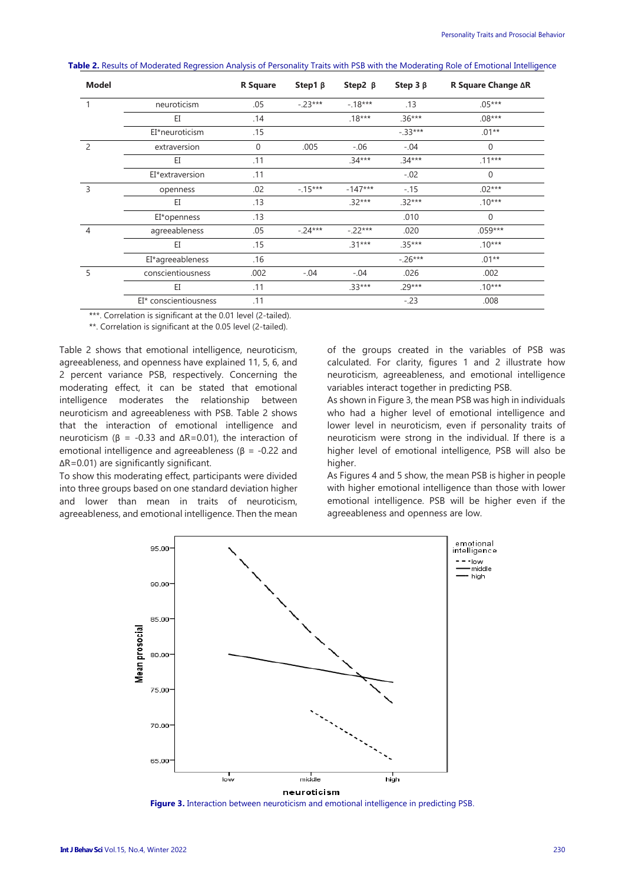| <b>Model</b>   |                       | <b>R</b> Square | Step1 $\beta$ | Step2 $\beta$ | Step $3 \beta$ | <b>R Square Change ∆R</b> |  |
|----------------|-----------------------|-----------------|---------------|---------------|----------------|---------------------------|--|
| 1              | neuroticism           | .05             | $-23***$      | $-18***$      | .13            | $.05***$                  |  |
|                | EI                    | .14             |               | $.18***$      | $.36***$       | $.08***$                  |  |
|                | EI*neuroticism        | .15             |               |               | $-.33***$      | $.01**$                   |  |
| 2              | extraversion          | $\mathbf{0}$    | .005          | $-.06$        | $-.04$         | $\Omega$                  |  |
|                | EI                    | .11             |               | $.34***$      | $.34***$       | $.11***$                  |  |
|                | EI*extraversion       | .11             |               |               | $-.02$         | $\mathbf{0}$              |  |
| 3              | openness              | .02             | $-15***$      | $-147***$     | $-.15$         | $.02***$                  |  |
|                | EI                    | .13             |               | $.32***$      | $.32***$       | $.10***$                  |  |
|                | EI*openness           | .13             |               |               | .010           | $\Omega$                  |  |
| $\overline{4}$ | agreeableness         | .05             | $-24***$      | $-22***$      | .020           | $.059***$                 |  |
|                | EI                    | .15             |               | $.31***$      | $.35***$       | $.10***$                  |  |
|                | EI*agreeableness      | .16             |               |               | $-.26***$      | $.01**$                   |  |
| 5              | conscientiousness     | .002            | $-.04$        | $-.04$        | .026           | .002                      |  |
|                | EI                    | .11             |               | $.33***$      | $29***$        | $.10***$                  |  |
|                | EI* conscientiousness | .11             |               |               | $-.23$         | .008                      |  |

**Table 2.** Results of Moderated Regression Analysis of Personality Traits with PSB with the Moderating Role of Emotional Intelligence

\*\*\*. Correlation is significant at the 0.01 level (2-tailed).

\*\*. Correlation is significant at the 0.05 level (2-tailed).

Table 2 shows that emotional intelligence, neuroticism, agreeableness, and openness have explained 11, 5, 6, and 2 percent variance PSB, respectively. Concerning the moderating effect, it can be stated that emotional intelligence moderates the relationship between neuroticism and agreeableness with PSB. Table 2 shows that the interaction of emotional intelligence and neuroticism ( $β = -0.33$  and  $ΔR=0.01$ ), the interaction of emotional intelligence and agreeableness ( $\beta$  = -0.22 and ΔR=0.01) are significantly significant.

To show this moderating effect, participants were divided into three groups based on one standard deviation higher and lower than mean in traits of neuroticism, agreeableness, and emotional intelligence. Then the mean

of the groups created in the variables of PSB was calculated. For clarity, figures 1 and 2 illustrate how neuroticism, agreeableness, and emotional intelligence variables interact together in predicting PSB.

As shown in Figure 3, the mean PSB was high in individuals who had a higher level of emotional intelligence and lower level in neuroticism, even if personality traits of neuroticism were strong in the individual. If there is a higher level of emotional intelligence, PSB will also be higher.

As Figures 4 and 5 show, the mean PSB is higher in people with higher emotional intelligence than those with lower emotional intelligence. PSB will be higher even if the agreeableness and openness are low.



**Figure 3.** Interaction between neuroticism and emotional intelligence in predicting PSB.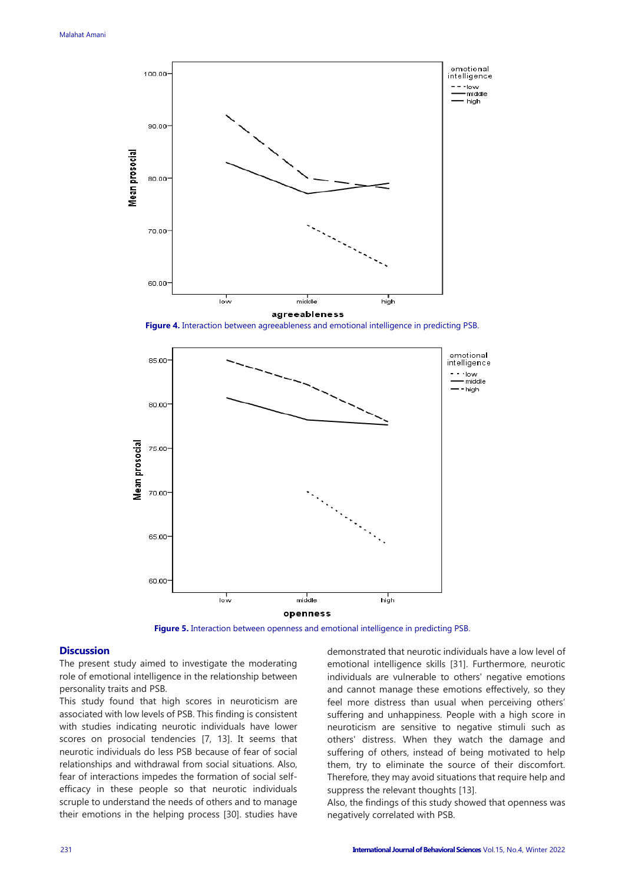

**Figure 4.** Interaction between agreeableness and emotional intelligence in predicting PSB.



**Figure 5.** Interaction between openness and emotional intelligence in predicting PSB.

#### **Discussion**

The present study aimed to investigate the moderating role of emotional intelligence in the relationship between personality traits and PSB.

This study found that high scores in neuroticism are associated with low levels of PSB. This finding is consistent with studies indicating neurotic individuals have lower scores on prosocial tendencies [7, 13]. It seems that neurotic individuals do less PSB because of fear of social relationships and withdrawal from social situations. Also, fear of interactions impedes the formation of social selfefficacy in these people so that neurotic individuals scruple to understand the needs of others and to manage their emotions in the helping process [30]. studies have

demonstrated that neurotic individuals have a low level of emotional intelligence skills [31]. Furthermore, neurotic individuals are vulnerable to others' negative emotions and cannot manage these emotions effectively, so they feel more distress than usual when perceiving others' suffering and unhappiness. People with a high score in neuroticism are sensitive to negative stimuli such as others' distress. When they watch the damage and suffering of others, instead of being motivated to help them, try to eliminate the source of their discomfort. Therefore, they may avoid situations that require help and suppress the relevant thoughts [13].

Also, the findings of this study showed that openness was negatively correlated with PSB.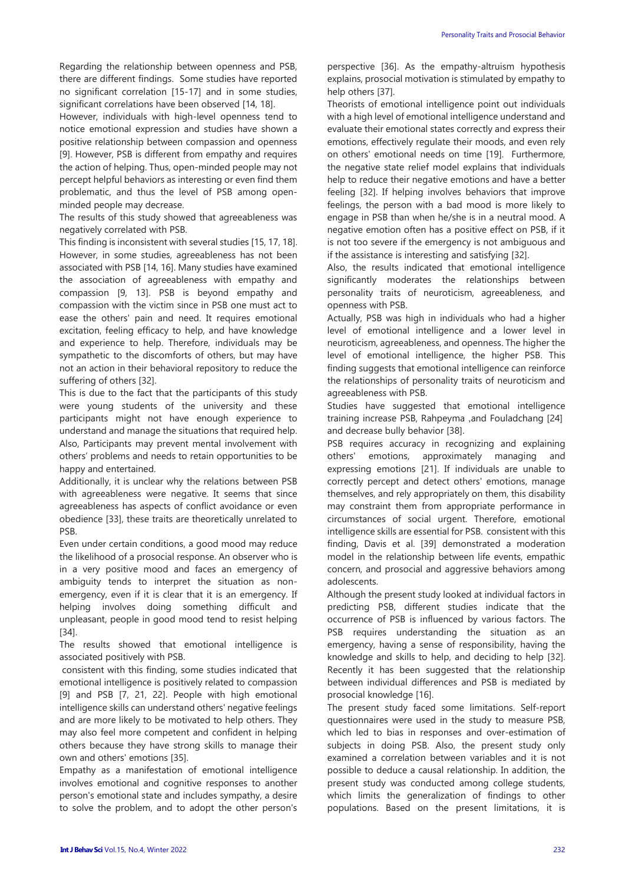Regarding the relationship between openness and PSB, there are different findings. Some studies have reported no significant correlation [15-17] and in some studies, significant correlations have been observed [14, 18].

However, individuals with high-level openness tend to notice emotional expression and studies have shown a positive relationship between compassion and openness [9]. However, PSB is different from empathy and requires the action of helping. Thus, open-minded people may not percept helpful behaviors as interesting or even find them problematic, and thus the level of PSB among openminded people may decrease.

The results of this study showed that agreeableness was negatively correlated with PSB.

This finding is inconsistent with several studies [15, 17, 18]. However, in some studies, agreeableness has not been associated with PSB [14, 16]. Many studies have examined the association of agreeableness with empathy and compassion [9, 13]. PSB is beyond empathy and compassion with the victim since in PSB one must act to ease the others' pain and need. It requires emotional excitation, feeling efficacy to help, and have knowledge and experience to help. Therefore, individuals may be sympathetic to the discomforts of others, but may have not an action in their behavioral repository to reduce the suffering of others [32].

This is due to the fact that the participants of this study were young students of the university and these participants might not have enough experience to understand and manage the situations that required help. Also, Participants may prevent mental involvement with others' problems and needs to retain opportunities to be happy and entertained.

Additionally, it is unclear why the relations between PSB with agreeableness were negative. It seems that since agreeableness has aspects of conflict avoidance or even obedience [33], these traits are theoretically unrelated to PSB.

Even under certain conditions, a good mood may reduce the likelihood of a prosocial response. An observer who is in a very positive mood and faces an emergency of ambiguity tends to interpret the situation as nonemergency, even if it is clear that it is an emergency. If helping involves doing something difficult and unpleasant, people in good mood tend to resist helping [34].

The results showed that emotional intelligence is associated positively with PSB.

consistent with this finding, some studies indicated that emotional intelligence is positively related to compassion [9] and PSB [7, 21, 22]. People with high emotional intelligence skills can understand others' negative feelings and are more likely to be motivated to help others. They may also feel more competent and confident in helping others because they have strong skills to manage their own and others' emotions [35].

Empathy as a manifestation of emotional intelligence involves emotional and cognitive responses to another person's emotional state and includes sympathy, a desire to solve the problem, and to adopt the other person's

perspective [36]. As the empathy-altruism hypothesis explains, prosocial motivation is stimulated by empathy to help others [37].

Theorists of emotional intelligence point out individuals with a high level of emotional intelligence understand and evaluate their emotional states correctly and express their emotions, effectively regulate their moods, and even rely on others' emotional needs on time [19]. Furthermore, the negative state relief model explains that individuals help to reduce their negative emotions and have a better feeling [32]. If helping involves behaviors that improve feelings, the person with a bad mood is more likely to engage in PSB than when he/she is in a neutral mood. A negative emotion often has a positive effect on PSB, if it is not too severe if the emergency is not ambiguous and if the assistance is interesting and satisfying [32].

Also, the results indicated that emotional intelligence significantly moderates the relationships between personality traits of neuroticism, agreeableness, and openness with PSB.

Actually, PSB was high in individuals who had a higher level of emotional intelligence and a lower level in neuroticism, agreeableness, and openness. The higher the level of emotional intelligence, the higher PSB. This finding suggests that emotional intelligence can reinforce the relationships of personality traits of neuroticism and agreeableness with PSB.

Studies have suggested that emotional intelligence training increase PSB, Rahpeyma ,and Fouladchang [24] and decrease bully behavior [38].

PSB requires accuracy in recognizing and explaining others' emotions, approximately managing and expressing emotions [21]. If individuals are unable to correctly percept and detect others' emotions, manage themselves, and rely appropriately on them, this disability may constraint them from appropriate performance in circumstances of social urgent. Therefore, emotional intelligence skills are essential for PSB. consistent with this finding, Davis et al. [39] demonstrated a moderation model in the relationship between life events, empathic concern, and prosocial and aggressive behaviors among adolescents.

Although the present study looked at individual factors in predicting PSB, different studies indicate that the occurrence of PSB is influenced by various factors. The PSB requires understanding the situation as an emergency, having a sense of responsibility, having the knowledge and skills to help, and deciding to help [32]. Recently it has been suggested that the relationship between individual differences and PSB is mediated by prosocial knowledge [16].

The present study faced some limitations. Self-report questionnaires were used in the study to measure PSB, which led to bias in responses and over-estimation of subjects in doing PSB. Also, the present study only examined a correlation between variables and it is not possible to deduce a causal relationship. In addition, the present study was conducted among college students, which limits the generalization of findings to other populations. Based on the present limitations, it is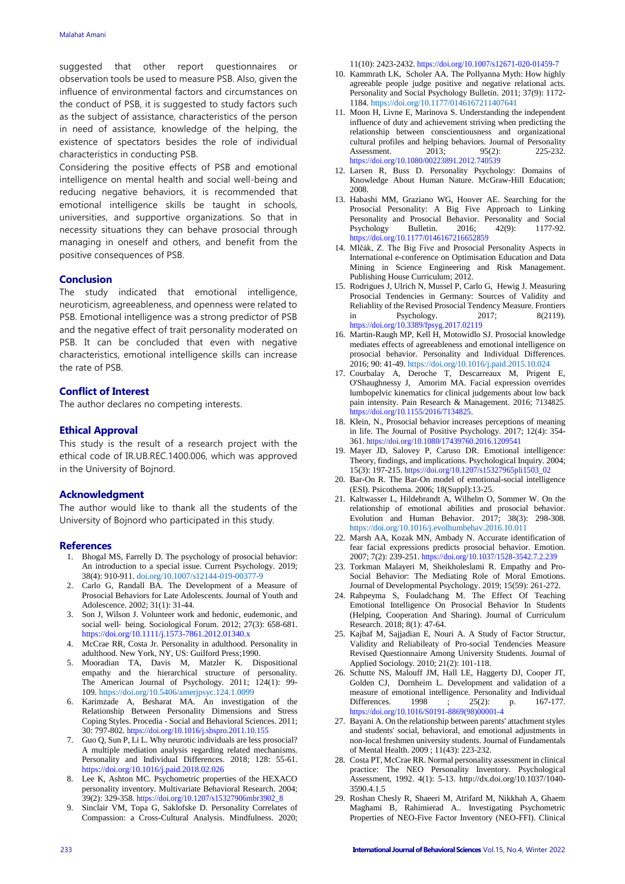suggested that other report questionnaires or observation tools be used to measure PSB. Also, given the influence of environmental factors and circumstances on the conduct of PSB, it is suggested to study factors such as the subject of assistance, characteristics of the person in need of assistance, knowledge of the helping, the existence of spectators besides the role of individual characteristics in conducting PSB.

Considering the positive effects of PSB and emotional intelligence on mental health and social well-being and reducing negative behaviors, it is recommended that emotional intelligence skills be taught in schools, universities, and supportive organizations. So that in necessity situations they can behave prosocial through managing in oneself and others, and benefit from the positive consequences of PSB.

#### **Conclusion**

The study indicated that emotional intelligence, neuroticism, agreeableness, and openness were related to PSB. Emotional intelligence was a strong predictor of PSB and the negative effect of trait personality moderated on PSB. It can be concluded that even with negative characteristics, emotional intelligence skills can increase the rate of PSB.

#### **Conflict of Interest**

The author declares no competing interests.

## **Ethical Approval**

This study is the result of a research project with the ethical code of IR.UB.REC.1400.006, which was approved in the University of Bojnord.

#### **Acknowledgment**

The author would like to thank all the students of the University of Bojnord who participated in this study.

#### **References**

- 1. Bhogal MS, Farrelly D. The psychology of prosocial behavior: An introduction to a special issue. Current Psychology. 2019; 38(4): 910-911. [doi.org/10.1007/s12144-019-00377-9](file:///C:/Users/zfarhangi/Downloads/IJBS.Vol15.N4.01.1520%20(4).docx)
- 2. Carlo G, Randall BA. The Development of a Measure of Prosocial Behaviors for Late Adolescents. Journal of Youth and Adolescence. 2002; 31(1): 31-44.
- 3. Son J, Wilson J. Volunteer work and hedonic, eudemonic, and social well- being. Sociological Forum. 2012; 27(3): 658-681. <https://doi.org/10.1111/j.1573-7861.2012.01340.x>
- 4. McCrae RR, Costa Jr. Personality in adulthood. Personality in adulthood. New York, NY, US: Guilford Press;1990.
- 5. Mooradian TA, Davis M, Matzler K. Dispositional empathy and the hierarchical structure of personality. The American Journal of Psychology. 2011; 124(1): 99- 109. <https://doi.org/10.5406/amerjpsyc.124.1.0099>
- 6. Karimzade A, Besharat MA. An investigation of the Relationship Between Personality Dimensions and Stress Coping Styles. Procedia - Social and Behavioral Sciences. 2011; 30: 797-802. <https://doi.org/10.1016/j.sbspro.2011.10.155>
- 7. Guo Q, Sun P, Li L. Why neurotic individuals are less prosocial? A multiple mediation analysis regarding related mechanisms. Personality and Individual Differences. 2018; 128: 55-61. [https://doi.org/10.1016/j.paid.2018.02.026](https://psycnet.apa.org/doi/10.1016/j.paid.2018.02.026)
- 8. Lee K, Ashton MC. Psychometric properties of the HEXACO personality inventory. Multivariate Behavioral Research. 2004; 39(2): 329-358. [https://doi.org/10.1207/s15327906mbr3902\\_8](https://psycnet.apa.org/doi/10.1207/s15327906mbr3902_8)
- 9. Sinclair VM, Topa G, Saklofske D. Personality Correlates of Compassion: a Cross-Cultural Analysis. Mindfulness. 2020;

11(10): 2423-2432. [https://doi.org/10.1007/s12671-020-01459-7](https://psycnet.apa.org/doi/10.1007/s12671-020-01459-7)

- 10. Kammrath LK, Scholer AA. The Pollyanna Myth: How highly agreeable people judge positive and negative relational acts. Personality and Social Psychology Bulletin. 2011; 37(9): 1172- 1184. [https://doi.org/10.1177/0146167211407641](https://doi.org/10.1177%2F0146167211407641)
- 11. Moon H, Livne E, Marinova S. Understanding the independent influence of duty and achievement striving when predicting the relationship between conscientiousness and organizational cultural profiles and helping behaviors. Journal of Personality Assessment. 2013; 95(2): 225-232. [https://doi.org/10.1080/00223891.2012.740539](https://psycnet.apa.org/doi/10.1080/00223891.2012.740539)
- 12. Larsen R, Buss D. Personality Psychology: Domains of Knowledge About Human Nature. McGraw-Hill Education; 2008.
- 13. Habashi MM, Graziano WG, Hoover AE. Searching for the Prosocial Personality: A Big Five Approach to Linking Personality and Prosocial Behavior. Personality and Social Psychology Bulletin*.* 2016; 42(9): 1177-92. [https://doi.org/10.1177/0146167216652859](https://psycnet.apa.org/doi/10.1177/0146167216652859)
- 14. Mlčák, Z. The Big Five and Prosocial Personality Aspects in International e-conference on Optimisation Education and Data Mining in Science Engineering and Risk Management. Publishing House Curriculum; 2012.
- 15. Rodrigues J, Ulrich N, Mussel P, Carlo G, Hewig J. Measuring Prosocial Tendencies in Germany: Sources of Validity and Reliablity of the Revised Prosocial Tendency Measure. Frontiers<br>in Psychology. 2017; 8(2119). in Psychology. [https://doi.org/10.3389/fpsyg.2017.02119](https://psycnet.apa.org/doi/10.3389/fpsyg.2017.02119)
- 16. Martin-Raugh MP, Kell H, Motowidlo SJ. Prosocial knowledge mediates effects of agreeableness and emotional intelligence on prosocial behavior. Personality and Individual Differences. 2016; 90: 41-49. <https://doi.org/10.1016/j.paid.2015.10.024>
- 17. Courbalay A, Deroche T, Descarreaux M, Prigent E, O'Shaughnessy J, Amorim MA. Facial expression overrides lumbopelvic kinematics for clinical judgements about low back pain intensity. Pain Research & Management. 2016; 7134825. [https://doi.org/10.1155/2016/7134825.](https://psycnet.apa.org/doi/10.1155/2016/7134825)
- 18. Klein, N., Prosocial behavior increases perceptions of meaning in life. The Journal of Positive Psychology. 2017; 12(4): 354- 361. [https://doi.org/10.1080/17439760.2016.1209541](https://psycnet.apa.org/doi/10.1080/17439760.2016.1209541)
- 19. Mayer JD, Salovey P, Caruso DR. Emotional intelligence: Theory, findings, and implications. Psychological Inquiry. 2004; 15(3): 197-215. [https://doi.org/10.1207/s15327965pli1503\\_02](https://psycnet.apa.org/doi/10.1207/s15327965pli1503_02)
- 20. Bar-On R. The Bar-On model of emotional-social intelligence (ESI). Psicothema. 2006; 18(Suppl):13-25.
- 21. Kaltwasser L, Hildebrandt A, Wilhelm O, Sommer W. On the relationship of emotional abilities and prosocial behavior. Evolution and Human Behavior. 2017; 38(3): 298-308. <https://doi.org/10.1016/j.evolhumbehav.2016.10.011>
- 22. Marsh AA, Kozak MN, Ambady N. Accurate identification of fear facial expressions predicts prosocial behavior. Emotion. 2007; 7(2): 239-251. [https://doi.org/10.1037/1528-3542.7.2.239](https://psycnet.apa.org/doi/10.1037/1528-3542.7.2.239)
- 23. Torkman Malayeri M, Sheikholeslami R. Empathy and Pro-Social Behavior: The Mediating Role of Moral Emotions. Journal of Developmental Psychology. 2019; 15(59): 261-272.
- 24. Rahpeyma S, Fouladchang M. The Effect Of Teaching Emotional Intelligence On Prosocial Behavior In Students (Helping, Cooperation And Sharing). Journal of Curriculum Research. 2018; 8(1): 47-64.
- 25. Kajbaf M, Sajjadian E, Nouri A. A Study of Factor Structur, Validity and Reliabileaty of Pro-social Tendencies Measure Revised Questionnaire Among University Students. Journal of Applied Sociology*.* 2010; 21(2): 101-118.
- 26. Schutte NS, Malouff JM, Hall LE, Haggerty DJ, Cooper JT, Golden CJ, Dornheim L. Development and validation of a measure of emotional intelligence. Personality and Individual Differences. 1998 ; 25(2): p. 167-177. [https://doi.org/10.1016/S0191-8869\(98\)00001-4](https://psycnet.apa.org/doi/10.1016/S0191-8869(98)00001-4)
- 27. Bayani A. On the relationship between parents' attachment styles and students' social, behavioral, and emotional adjustments in non-local freshmen university students. Journal of Fundamentals of Mental Health. 2009 ; 11(43): 223-232.
- 28. Costa PT, McCrae RR. Normal personality assessment in clinical practice: The NEO Personality Inventory. Psychological Assessment, 1992. 4(1): 5-13. http://dx.doi.org/10.1037/1040- 3590.4.1.5
- 29. Roshan Chesly R, Shaeeri M, Atrifard M, Nikkhah A, Ghaem Maghami B, Rahimierad A.. Investigating Psychometric Properties of NEO-Five Factor Inventory (NEO-FFI). Clinical